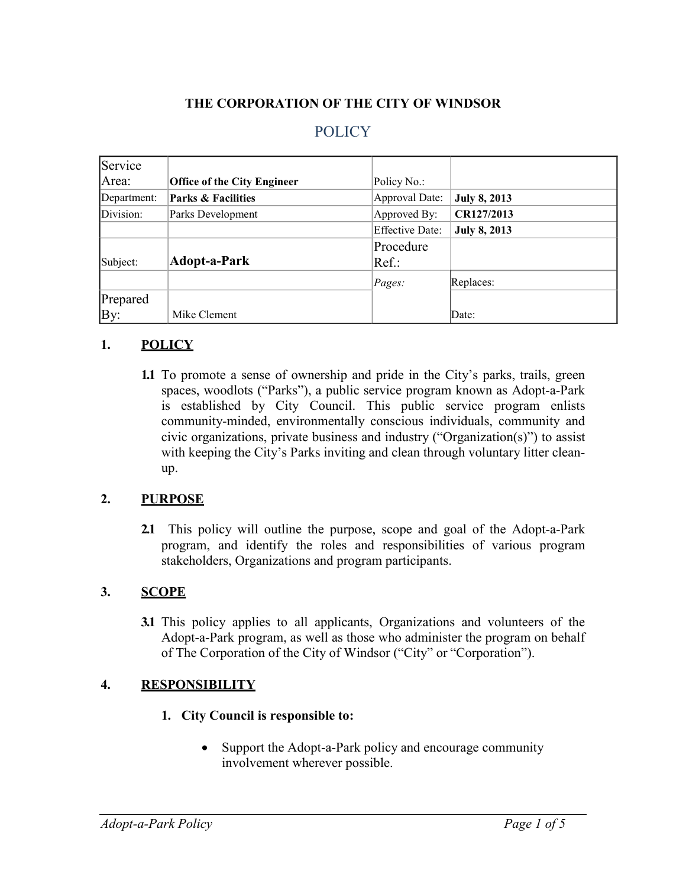#### **THE CORPORATION OF THE CITY OF WINDSOR**

## **POLICY**

| Service     |                                    |                        |                     |
|-------------|------------------------------------|------------------------|---------------------|
| Area:       | <b>Office of the City Engineer</b> | Policy No.:            |                     |
| Department: | <b>Parks &amp; Facilities</b>      | <b>Approval Date:</b>  | <b>July 8, 2013</b> |
| Division:   | Parks Development                  | Approved By:           | CR127/2013          |
|             |                                    | <b>Effective Date:</b> | <b>July 8, 2013</b> |
|             |                                    | Procedure              |                     |
| Subject:    | <b>Adopt-a-Park</b>                | Ref.:                  |                     |
|             |                                    | Pages:                 | Replaces:           |
| Prepared    |                                    |                        |                     |
| By:         | Mike Clement                       |                        | Date:               |

#### **1. POLICY**

**1.1** To promote a sense of ownership and pride in the City's parks, trails, green spaces, woodlots ("Parks"), a public service program known as Adopt-a-Park is established by City Council. This public service program enlists community-minded, environmentally conscious individuals, community and civic organizations, private business and industry ("Organization(s)") to assist with keeping the City's Parks inviting and clean through voluntary litter cleanup.

#### **2. PURPOSE**

**2.1** This policy will outline the purpose, scope and goal of the Adopt-a-Park program, and identify the roles and responsibilities of various program stakeholders, Organizations and program participants.

#### **3. SCOPE**

**3.1** This policy applies to all applicants, Organizations and volunteers of the Adopt-a-Park program, as well as those who administer the program on behalf of The Corporation of the City of Windsor ("City" or "Corporation").

#### **4. RESPONSIBILITY**

#### **1. City Council is responsible to:**

• Support the Adopt-a-Park policy and encourage community involvement wherever possible.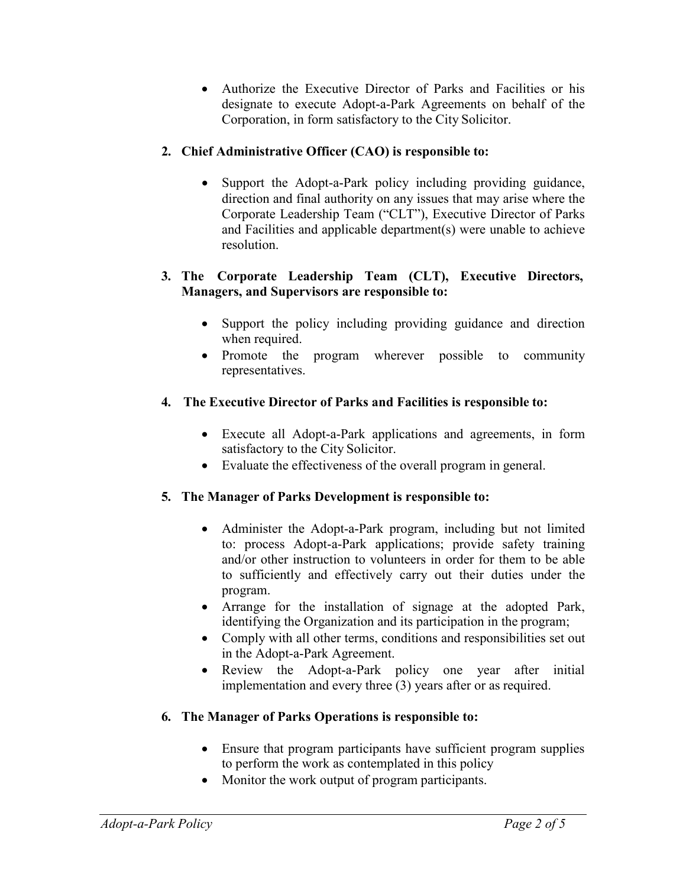• Authorize the Executive Director of Parks and Facilities or his designate to execute Adopt-a-Park Agreements on behalf of the Corporation, in form satisfactory to the City Solicitor.

## **2. Chief Administrative Officer (CAO) is responsible to:**

• Support the Adopt-a-Park policy including providing guidance, direction and final authority on any issues that may arise where the Corporate Leadership Team ("CLT"), Executive Director of Parks and Facilities and applicable department(s) were unable to achieve resolution.

#### **3. The Corporate Leadership Team (CLT), Executive Directors, Managers, and Supervisors are responsible to:**

- Support the policy including providing guidance and direction when required.
- Promote the program wherever possible to community representatives.

### **4. The Executive Director of Parks and Facilities is responsible to:**

- Execute all Adopt-a-Park applications and agreements, in form satisfactory to the City Solicitor.
- Evaluate the effectiveness of the overall program in general.

## **5. The Manager of Parks Development is responsible to:**

- Administer the Adopt-a-Park program, including but not limited to: process Adopt-a-Park applications; provide safety training and/or other instruction to volunteers in order for them to be able to sufficiently and effectively carry out their duties under the program.
- Arrange for the installation of signage at the adopted Park, identifying the Organization and its participation in the program;
- Comply with all other terms, conditions and responsibilities set out in the Adopt-a-Park Agreement.
- Review the Adopt-a-Park policy one year after initial implementation and every three (3) years after or as required.

### **6. The Manager of Parks Operations is responsible to:**

- Ensure that program participants have sufficient program supplies to perform the work as contemplated in this policy
- Monitor the work output of program participants.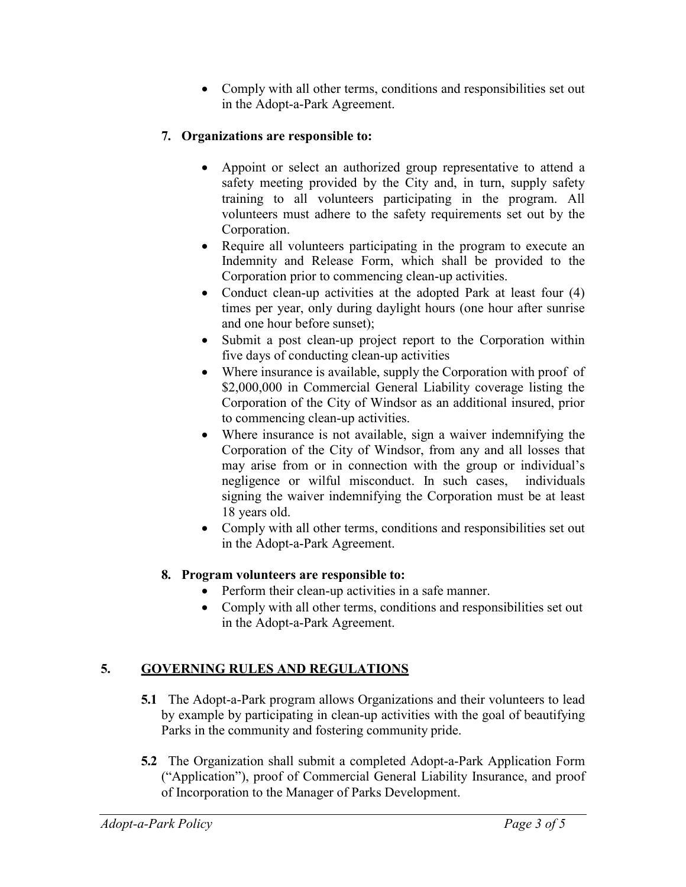• Comply with all other terms, conditions and responsibilities set out in the Adopt-a-Park Agreement.

## **7. Organizations are responsible to:**

- Appoint or select an authorized group representative to attend a safety meeting provided by the City and, in turn, supply safety training to all volunteers participating in the program. All volunteers must adhere to the safety requirements set out by the Corporation.
- Require all volunteers participating in the program to execute an Indemnity and Release Form, which shall be provided to the Corporation prior to commencing clean-up activities.
- Conduct clean-up activities at the adopted Park at least four (4) times per year, only during daylight hours (one hour after sunrise and one hour before sunset);
- Submit a post clean-up project report to the Corporation within five days of conducting clean-up activities
- Where insurance is available, supply the Corporation with proof of \$2,000,000 in Commercial General Liability coverage listing the Corporation of the City of Windsor as an additional insured, prior to commencing clean-up activities.
- Where insurance is not available, sign a waiver indemnifying the Corporation of the City of Windsor, from any and all losses that may arise from or in connection with the group or individual's negligence or wilful misconduct. In such cases, individuals signing the waiver indemnifying the Corporation must be at least 18 years old.
- Comply with all other terms, conditions and responsibilities set out in the Adopt-a-Park Agreement.

### **8. Program volunteers are responsible to:**

- Perform their clean-up activities in a safe manner.
- Comply with all other terms, conditions and responsibilities set out in the Adopt-a-Park Agreement.

# **5. GOVERNING RULES AND REGULATIONS**

- **5.1** The Adopt-a-Park program allows Organizations and their volunteers to lead by example by participating in clean-up activities with the goal of beautifying Parks in the community and fostering community pride.
- **5.2** The Organization shall submit a completed Adopt-a-Park Application Form ("Application"), proof of Commercial General Liability Insurance, and proof of Incorporation to the Manager of Parks Development.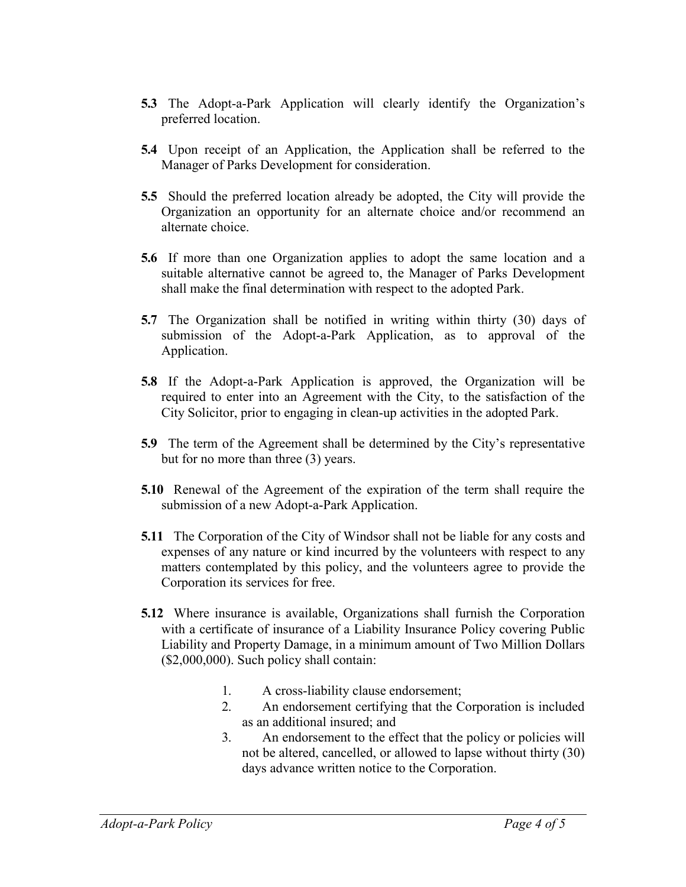- **5.3** The Adopt-a-Park Application will clearly identify the Organization's preferred location.
- **5.4** Upon receipt of an Application, the Application shall be referred to the Manager of Parks Development for consideration.
- **5.5** Should the preferred location already be adopted, the City will provide the Organization an opportunity for an alternate choice and/or recommend an alternate choice.
- **5.6** If more than one Organization applies to adopt the same location and a suitable alternative cannot be agreed to, the Manager of Parks Development shall make the final determination with respect to the adopted Park.
- **5.7** The Organization shall be notified in writing within thirty (30) days of submission of the Adopt-a-Park Application, as to approval of the Application.
- **5.8** If the Adopt-a-Park Application is approved, the Organization will be required to enter into an Agreement with the City, to the satisfaction of the City Solicitor, prior to engaging in clean-up activities in the adopted Park.
- **5.9** The term of the Agreement shall be determined by the City's representative but for no more than three (3) years.
- **5.10** Renewal of the Agreement of the expiration of the term shall require the submission of a new Adopt-a-Park Application.
- **5.11** The Corporation of the City of Windsor shall not be liable for any costs and expenses of any nature or kind incurred by the volunteers with respect to any matters contemplated by this policy, and the volunteers agree to provide the Corporation its services for free.
- **5.12** Where insurance is available, Organizations shall furnish the Corporation with a certificate of insurance of a Liability Insurance Policy covering Public Liability and Property Damage, in a minimum amount of Two Million Dollars (\$2,000,000). Such policy shall contain:
	- 1. A cross-liability clause endorsement;
	- 2. An endorsement certifying that the Corporation is included as an additional insured; and
	- 3. An endorsement to the effect that the policy or policies will not be altered, cancelled, or allowed to lapse without thirty (30) days advance written notice to the Corporation.